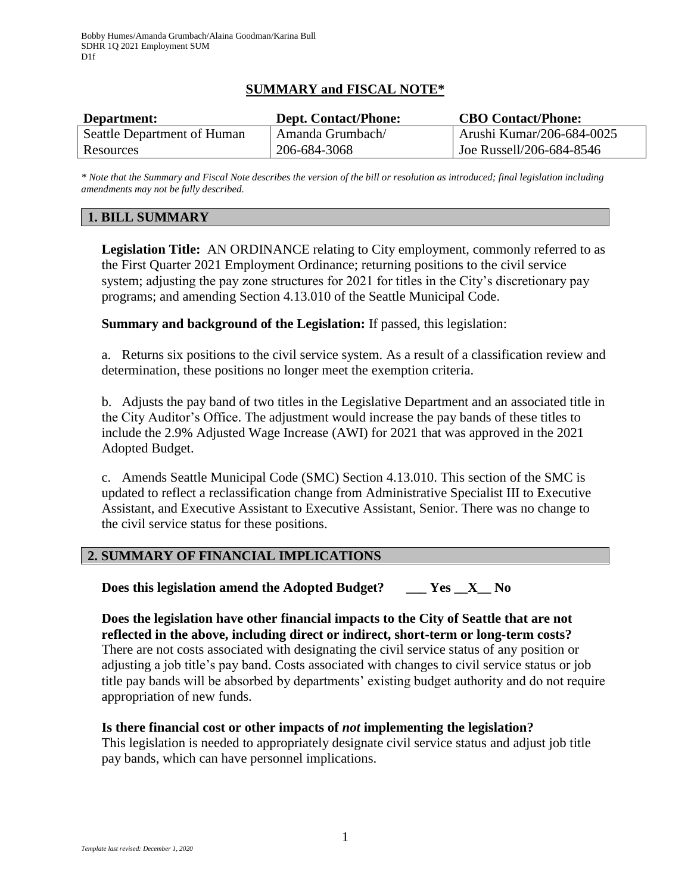## **SUMMARY and FISCAL NOTE\***

| Department:                 | <b>Dept. Contact/Phone:</b> | <b>CBO Contact/Phone:</b> |
|-----------------------------|-----------------------------|---------------------------|
| Seattle Department of Human | Amanda Grumbach/            | Arushi Kumar/206-684-0025 |
| Resources                   | 206-684-3068                | Joe Russell/206-684-8546  |

*\* Note that the Summary and Fiscal Note describes the version of the bill or resolution as introduced; final legislation including amendments may not be fully described.*

## **1. BILL SUMMARY**

**Legislation Title:** AN ORDINANCE relating to City employment, commonly referred to as the First Quarter 2021 Employment Ordinance; returning positions to the civil service system; adjusting the pay zone structures for 2021 for titles in the City's discretionary pay programs; and amending Section 4.13.010 of the Seattle Municipal Code.

**Summary and background of the Legislation:** If passed, this legislation:

a. Returns six positions to the civil service system. As a result of a classification review and determination, these positions no longer meet the exemption criteria.

b. Adjusts the pay band of two titles in the Legislative Department and an associated title in the City Auditor's Office. The adjustment would increase the pay bands of these titles to include the 2.9% Adjusted Wage Increase (AWI) for 2021 that was approved in the 2021 Adopted Budget.

c. Amends Seattle Municipal Code (SMC) Section 4.13.010. This section of the SMC is updated to reflect a reclassification change from Administrative Specialist III to Executive Assistant, and Executive Assistant to Executive Assistant, Senior. There was no change to the civil service status for these positions.

## **2. SUMMARY OF FINANCIAL IMPLICATIONS**

**Does this legislation amend the Adopted Budget? \_\_\_ Yes \_\_X\_\_ No**

**Does the legislation have other financial impacts to the City of Seattle that are not reflected in the above, including direct or indirect, short-term or long-term costs?** There are not costs associated with designating the civil service status of any position or adjusting a job title's pay band. Costs associated with changes to civil service status or job title pay bands will be absorbed by departments' existing budget authority and do not require appropriation of new funds.

# **Is there financial cost or other impacts of** *not* **implementing the legislation?** This legislation is needed to appropriately designate civil service status and adjust job title

pay bands, which can have personnel implications.